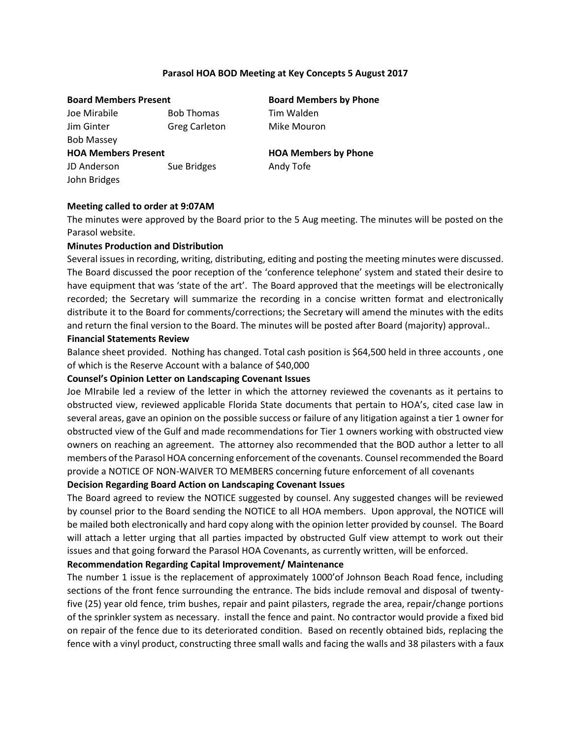## **Parasol HOA BOD Meeting at Key Concepts 5 August 2017**

Joe Mirabile Bob Thomas Tim Walden Jim Ginter **Greg Carleton** Mike Mouron Bob Massey **HOA Members Present HOA Members by Phone** JD Anderson Sue Bridges Andy Tofe John Bridges

**Board Members Present Board Members by Phone**

## **Meeting called to order at 9:07AM**

The minutes were approved by the Board prior to the 5 Aug meeting. The minutes will be posted on the Parasol website.

## **Minutes Production and Distribution**

Several issues in recording, writing, distributing, editing and posting the meeting minutes were discussed. The Board discussed the poor reception of the 'conference telephone' system and stated their desire to have equipment that was 'state of the art'. The Board approved that the meetings will be electronically recorded; the Secretary will summarize the recording in a concise written format and electronically distribute it to the Board for comments/corrections; the Secretary will amend the minutes with the edits and return the final version to the Board. The minutes will be posted after Board (majority) approval..

#### **Financial Statements Review**

Balance sheet provided. Nothing has changed. Total cash position is \$64,500 held in three accounts , one of which is the Reserve Account with a balance of \$40,000

### **Counsel's Opinion Letter on Landscaping Covenant Issues**

Joe MIrabile led a review of the letter in which the attorney reviewed the covenants as it pertains to obstructed view, reviewed applicable Florida State documents that pertain to HOA's, cited case law in several areas, gave an opinion on the possible success or failure of any litigation against a tier 1 owner for obstructed view of the Gulf and made recommendations for Tier 1 owners working with obstructed view owners on reaching an agreement. The attorney also recommended that the BOD author a letter to all members of the Parasol HOA concerning enforcement of the covenants. Counsel recommended the Board provide a NOTICE OF NON-WAIVER TO MEMBERS concerning future enforcement of all covenants

#### **Decision Regarding Board Action on Landscaping Covenant Issues**

The Board agreed to review the NOTICE suggested by counsel. Any suggested changes will be reviewed by counsel prior to the Board sending the NOTICE to all HOA members. Upon approval, the NOTICE will be mailed both electronically and hard copy along with the opinion letter provided by counsel. The Board will attach a letter urging that all parties impacted by obstructed Gulf view attempt to work out their issues and that going forward the Parasol HOA Covenants, as currently written, will be enforced.

### **Recommendation Regarding Capital Improvement/ Maintenance**

The number 1 issue is the replacement of approximately 1000'of Johnson Beach Road fence, including sections of the front fence surrounding the entrance. The bids include removal and disposal of twentyfive (25) year old fence, trim bushes, repair and paint pilasters, regrade the area, repair/change portions of the sprinkler system as necessary. install the fence and paint. No contractor would provide a fixed bid on repair of the fence due to its deteriorated condition. Based on recently obtained bids, replacing the fence with a vinyl product, constructing three small walls and facing the walls and 38 pilasters with a faux